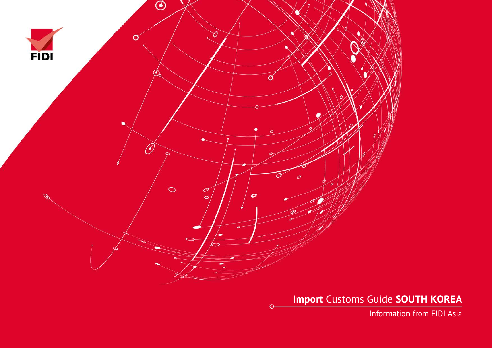

 $\epsilon$ 

**Import** Customs Guide **SOUTH KOREA**

Information from FIDI Asia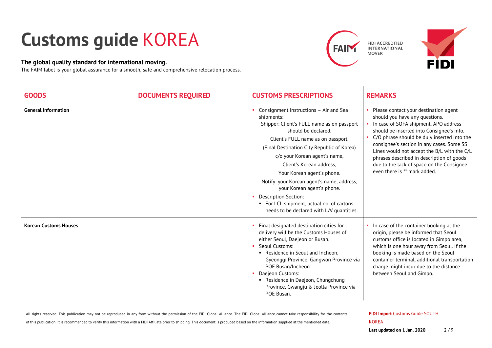## **Customs guide** KOREA

## **The global quality standard for international moving.**

The FAIM label is your global assurance for a smooth, safe and comprehensive relocation process.



FIDI ACCREDITED<br>INTERNATIONAL **MOVER** 



| <b>GOODS</b>                 | <b>DOCUMENTS REQUIRED</b> | <b>CUSTOMS PRESCRIPTIONS</b>                                                                                                                                                                                                                                                                                                                                                                                                                                                                             | <b>REMARKS</b>                                                                                                                                                                                                                                                                                                                                                                                                                     |
|------------------------------|---------------------------|----------------------------------------------------------------------------------------------------------------------------------------------------------------------------------------------------------------------------------------------------------------------------------------------------------------------------------------------------------------------------------------------------------------------------------------------------------------------------------------------------------|------------------------------------------------------------------------------------------------------------------------------------------------------------------------------------------------------------------------------------------------------------------------------------------------------------------------------------------------------------------------------------------------------------------------------------|
| <b>General information</b>   |                           | • Consignment instructions - Air and Sea<br>shipments:<br>Shipper: Client's FULL name as on passport<br>should be declared.<br>Client's FULL name as on passport,<br>(Final Destination City Republic of Korea)<br>c/o your Korean agent's name,<br>Client's Korean address,<br>Your Korean agent's phone.<br>Notify: your Korean agent's name, address,<br>your Korean agent's phone.<br>• Description Section:<br>For LCL shipment, actual no. of cartons<br>needs to be declared with L/V quantities. | Please contact your destination agent<br>should you have any questions.<br>In case of SOFA shipment, APO address<br>should be inserted into Consignee's info.<br>C/O phrase should be duly inserted into the<br>consignee's section in any cases. Some SS<br>Lines would not accept the B/L with the C/L<br>phrases described in description of goods<br>due to the lack of space on the Consignee<br>even there is ** mark added. |
| <b>Korean Customs Houses</b> |                           | • Final designated destination cities for<br>delivery will be the Customs Houses of<br>either Seoul, Daejeon or Busan.<br>• Seoul Customs:<br>Residence in Seoul and Incheon,<br>Gyeonggi Province, Gangwon Province via<br>POE Busan/Incheon<br>• Daejeon Customs:<br>Residence in Daejeon, Chungchung<br>Province, Gwangju & Jeolla Province via<br>POE Busan.                                                                                                                                         | In case of the container booking at the<br>origin, please be informed that Seoul<br>customs office is located in Gimpo area,<br>which is one hour away from Seoul. If the<br>booking is made based on the Seoul<br>container terminal, additional transportation<br>charge might incur due to the distance<br>between Seoul and Gimpo.                                                                                             |

All rights reserved. This publication may not be reproduced in any form without the permission of the FIDI Global Alliance. The FIDI Global Alliance cannot take responsibility for the contents

of this publication. It is recommended to verify this information with a FIDI Affiliate prior to shipping. This document is produced based on the information supplied at the mentioned date.

**FIDI Import** Customs Guide SOUTH KOREA **Last updated on 1 Jan. 2020** 2/9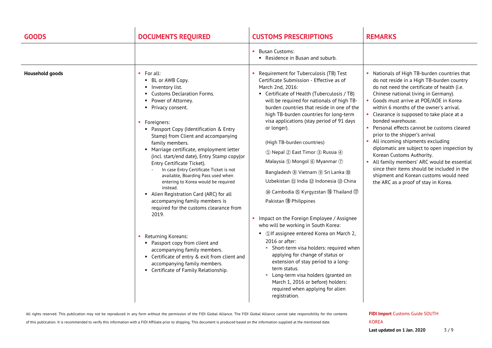| <b>GOODS</b>           | <b>DOCUMENTS REQUIRED</b>                                                                                                                                                                                                                                                                                                                                                                                                                                                                                                                                                                                                                                                                                                                                                                                                                                                                 | <b>CUSTOMS PRESCRIPTIONS</b>                                                                                                                                                                                                                                                                                                                                                                                                                                                                                                                                                                                                                                                                                                                                                                                                                                                                                                                                                                                                                                       | <b>REMARKS</b>                                                                                                                                                                                                                                                                                                                                                                                                                                                                                                                                                                                                                                                                                                              |
|------------------------|-------------------------------------------------------------------------------------------------------------------------------------------------------------------------------------------------------------------------------------------------------------------------------------------------------------------------------------------------------------------------------------------------------------------------------------------------------------------------------------------------------------------------------------------------------------------------------------------------------------------------------------------------------------------------------------------------------------------------------------------------------------------------------------------------------------------------------------------------------------------------------------------|--------------------------------------------------------------------------------------------------------------------------------------------------------------------------------------------------------------------------------------------------------------------------------------------------------------------------------------------------------------------------------------------------------------------------------------------------------------------------------------------------------------------------------------------------------------------------------------------------------------------------------------------------------------------------------------------------------------------------------------------------------------------------------------------------------------------------------------------------------------------------------------------------------------------------------------------------------------------------------------------------------------------------------------------------------------------|-----------------------------------------------------------------------------------------------------------------------------------------------------------------------------------------------------------------------------------------------------------------------------------------------------------------------------------------------------------------------------------------------------------------------------------------------------------------------------------------------------------------------------------------------------------------------------------------------------------------------------------------------------------------------------------------------------------------------------|
|                        |                                                                                                                                                                                                                                                                                                                                                                                                                                                                                                                                                                                                                                                                                                                                                                                                                                                                                           | • Busan Customs:<br>Residence in Busan and suburb.                                                                                                                                                                                                                                                                                                                                                                                                                                                                                                                                                                                                                                                                                                                                                                                                                                                                                                                                                                                                                 |                                                                                                                                                                                                                                                                                                                                                                                                                                                                                                                                                                                                                                                                                                                             |
| <b>Household goods</b> | $\blacksquare$ For all:<br>• BL or AWB Copy.<br>• Inventory list.<br>• Customs Declaration Forms.<br>• Power of Attorney.<br>• Privacy consent.<br>• Foreigners:<br>• Passport Copy (Identification & Entry<br>Stamp) from Client and accompanying<br>family members.<br>• Marriage certificate, employment letter<br>(incl. start/end date), Entry Stamp copy(or<br>Entry Certificate Ticket).<br>In case Entry Certificate Ticket is not<br>available, Boarding Pass used when<br>entering to Korea would be required<br>instead.<br>• Alien Registration Card (ARC) for all<br>accompanying family members is<br>required for the customs clearance from<br>2019.<br>• Returning Koreans:<br>• Passport copy from client and<br>accompanying family members.<br>• Certificate of entry & exit from client and<br>accompanying family members.<br>• Certificate of Family Relationship. | Requirement for Tuberculosis (TB) Test<br>Certificate Submission - Effective as of<br>March 2nd, 2016:<br>• Certificate of Health (Tuberculosis / TB)<br>will be required for nationals of high TB-<br>burden countries that reside in one of the<br>high TB-burden countries for long-term<br>visa applications (stay period of 91 days<br>or longer).<br>(High TB-burden countries)<br>1 Nepal 2 East Timor 3 Russia 4<br>Malaysia 5 Mongol 6 Myanmar 7<br>Bangladesh ⑧ Vietnam ⑨ Sri Lanka ⑩<br>Uzbekistan (1) India (1) Indonesia (13) China<br>14 Cambodia 15 Kyrgyzstan 16 Thailand 17<br>Pakistan <sup>(18</sup> ) Philippines<br>• Impact on the Foreign Employee / Assignee<br>who will be working in South Korea:<br>• ①If assignee entered Korea on March 2,<br>2016 or after:<br>• Short-term visa holders: required when<br>applying for change of status or<br>extension of stay period to a long-<br>term status.<br>" Long-term visa holders (granted on<br>March 1, 2016 or before) holders:<br>required when applying for alien<br>registration. | • Nationals of High TB-burden countries that<br>do not reside in a High TB-burden country<br>do not need the certificate of health (i.e.<br>Chinese national living in Germany).<br>Goods must arrive at POE/AOE in Korea<br>within 6 months of the owner's arrival.<br>• Clearance is supposed to take place at a<br>bonded warehouse.<br>• Personal effects cannot be customs cleared<br>prior to the shipper's arrival<br>• All incoming shipments excluding<br>diplomatic are subject to open inspection by<br>Korean Customs Authority.<br>All family members' ARC would be essential<br>since their items should be included in the<br>shipment and Korean customs would need<br>the ARC as a proof of stay in Korea. |

of this publication. It is recommended to verify this information with a FIDI Affiliate prior to shipping. This document is produced based on the information supplied at the mentioned date.

**FIDI Import** Customs Guide SOUTH KOREA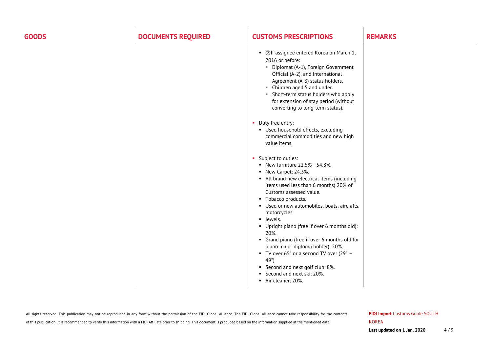| <b>GOODS</b> | <b>DOCUMENTS REQUIRED</b> | <b>CUSTOMS PRESCRIPTIONS</b>                                                                                                                                                                                                                                                                                                                                                                                                                                                                                                                                                                       | <b>REMARKS</b> |
|--------------|---------------------------|----------------------------------------------------------------------------------------------------------------------------------------------------------------------------------------------------------------------------------------------------------------------------------------------------------------------------------------------------------------------------------------------------------------------------------------------------------------------------------------------------------------------------------------------------------------------------------------------------|----------------|
|              |                           | • 2If assignee entered Korea on March 1,<br>2016 or before:<br>Diplomat (A-1), Foreign Government<br>Official (A-2), and International<br>Agreement (A-3) status holders.<br>" Children aged 5 and under.<br>• Short-term status holders who apply<br>for extension of stay period (without<br>converting to long-term status).<br>• Duty free entry:<br>Used household effects, excluding<br>commercial commodities and new high<br>value items.                                                                                                                                                  |                |
|              |                           | • Subject to duties:<br>New furniture 22.5% - 54.8%.<br>New Carpet: 24.3%.<br>• All brand new electrical items (including<br>items used less than 6 months) 20% of<br>Customs assessed value.<br>" Tobacco products.<br>Used or new automobiles, boats, aircrafts,<br>motorcycles.<br>· Jewels.<br>• Upright piano (free if over 6 months old):<br>20%.<br>• Grand piano (free if over 6 months old for<br>piano major diploma holder): 20%.<br>$\blacksquare$ TV over 65" or a second TV over (29" -<br>49").<br>Second and next golf club: 8%.<br>Second and next ski: 20%.<br>Air cleaner: 20%. |                |

of this publication. It is recommended to verify this information with a FIDI Affiliate prior to shipping. This document is produced based on the information supplied at the mentioned date.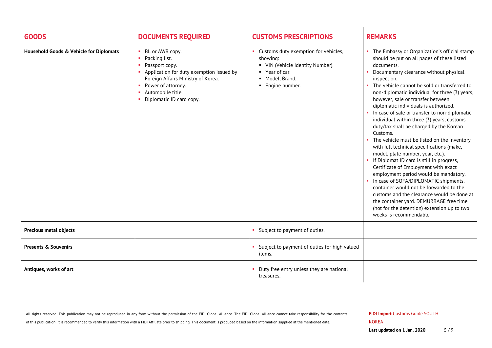| <b>GOODS</b>                            | <b>DOCUMENTS REQUIRED</b>                                                                                                                                                                                   | <b>CUSTOMS PRESCRIPTIONS</b>                                                                                                                  | <b>REMARKS</b>                                                                                                                                                                                                                                                                                                                                                                                                                                                                                                                                                                                                                                                                                                                                                                                                                                                                                                                                                                                                                        |
|-----------------------------------------|-------------------------------------------------------------------------------------------------------------------------------------------------------------------------------------------------------------|-----------------------------------------------------------------------------------------------------------------------------------------------|---------------------------------------------------------------------------------------------------------------------------------------------------------------------------------------------------------------------------------------------------------------------------------------------------------------------------------------------------------------------------------------------------------------------------------------------------------------------------------------------------------------------------------------------------------------------------------------------------------------------------------------------------------------------------------------------------------------------------------------------------------------------------------------------------------------------------------------------------------------------------------------------------------------------------------------------------------------------------------------------------------------------------------------|
| Household Goods & Vehicle for Diplomats | BL or AWB copy.<br>Packing list.<br>Passport copy.<br>Application for duty exemption issued by<br>Foreign Affairs Ministry of Korea.<br>Power of attorney.<br>Automobile title.<br>Diplomatic ID card copy. | • Customs duty exemption for vehicles,<br>showing:<br>• VIN (Vehicle Identity Number).<br>" Year of car.<br>Model, Brand.<br>· Engine number. | • The Embassy or Organization's official stamp<br>should be put on all pages of these listed<br>documents.<br>Documentary clearance without physical<br>inspection.<br>The vehicle cannot be sold or transferred to<br>non-diplomatic individual for three (3) years,<br>however, sale or transfer between<br>diplomatic individuals is authorized.<br>• In case of sale or transfer to non-diplomatic<br>individual within three (3) years, customs<br>duty/tax shall be charged by the Korean<br>Customs.<br>The vehicle must be listed on the inventory<br>with full technical specifications (make,<br>model, plate number, year, etc.).<br>• If Diplomat ID card is still in progress,<br>Certificate of Employment with exact<br>employment period would be mandatory.<br>• In case of SOFA/DIPLOMATIC shipments,<br>container would not be forwarded to the<br>customs and the clearance would be done at<br>the container yard. DEMURRAGE free time<br>(not for the detention) extension up to two<br>weeks is recommendable. |
| <b>Precious metal objects</b>           |                                                                                                                                                                                                             | Subject to payment of duties.                                                                                                                 |                                                                                                                                                                                                                                                                                                                                                                                                                                                                                                                                                                                                                                                                                                                                                                                                                                                                                                                                                                                                                                       |
| <b>Presents &amp; Souvenirs</b>         |                                                                                                                                                                                                             | Subject to payment of duties for high valued<br>items.                                                                                        |                                                                                                                                                                                                                                                                                                                                                                                                                                                                                                                                                                                                                                                                                                                                                                                                                                                                                                                                                                                                                                       |
| Antiques, works of art                  |                                                                                                                                                                                                             | Duty free entry unless they are national<br>treasures.                                                                                        |                                                                                                                                                                                                                                                                                                                                                                                                                                                                                                                                                                                                                                                                                                                                                                                                                                                                                                                                                                                                                                       |

of this publication. It is recommended to verify this information with a FIDI Affiliate prior to shipping. This document is produced based on the information supplied at the mentioned date.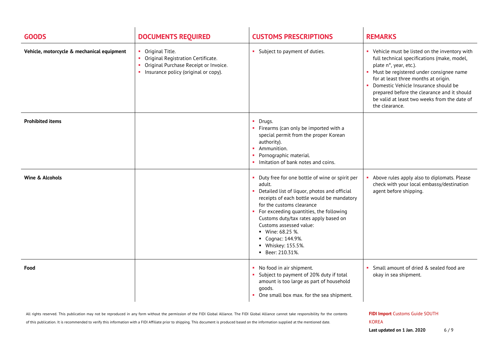| <b>GOODS</b>                               | <b>DOCUMENTS REQUIRED</b>                                                                                                                                      | <b>CUSTOMS PRESCRIPTIONS</b>                                                                                                                                                                                                                                                                                                                                                      | <b>REMARKS</b>                                                                                                                                                                                                                                                                                                                                                                      |
|--------------------------------------------|----------------------------------------------------------------------------------------------------------------------------------------------------------------|-----------------------------------------------------------------------------------------------------------------------------------------------------------------------------------------------------------------------------------------------------------------------------------------------------------------------------------------------------------------------------------|-------------------------------------------------------------------------------------------------------------------------------------------------------------------------------------------------------------------------------------------------------------------------------------------------------------------------------------------------------------------------------------|
| Vehicle, motorcycle & mechanical equipment | Original Title.<br>$\mathbf{r}$<br>Original Registration Certificate.<br>Original Purchase Receipt or Invoice.<br>×.<br>• Insurance policy (original or copy). | • Subject to payment of duties.                                                                                                                                                                                                                                                                                                                                                   | • Vehicle must be listed on the inventory with<br>full technical specifications (make, model,<br>plate n°, year, etc.).<br>Must be registered under consignee name<br>$\mathbf{u}$<br>for at least three months at origin.<br>Domestic Vehicle Insurance should be<br>prepared before the clearance and it should<br>be valid at least two weeks from the date of<br>the clearance. |
| <b>Prohibited items</b>                    |                                                                                                                                                                | • Drugs.<br>• Firearms (can only be imported with a<br>special permit from the proper Korean<br>authority).<br>Ammunition.<br>Pornographic material.<br>Imitation of bank notes and coins.                                                                                                                                                                                        |                                                                                                                                                                                                                                                                                                                                                                                     |
| <b>Wine &amp; Alcohols</b>                 |                                                                                                                                                                | Duty free for one bottle of wine or spirit per<br>adult.<br>Detailed list of liquor, photos and official<br>receipts of each bottle would be mandatory<br>for the customs clearance<br>For exceeding quantities, the following<br>Customs duty/tax rates apply based on<br>Customs assessed value:<br>■ Wine: 68.25 %.<br>Cognac: 144.9%.<br>• Whiskey: 155.5%.<br>Beer: 210.31%. | Above rules apply also to diplomats. Please<br>check with your local embassy/destination<br>agent before shipping.                                                                                                                                                                                                                                                                  |
| Food                                       |                                                                                                                                                                | • No food in air shipment.<br>Subject to payment of 20% duty if total<br>amount is too large as part of household<br>goods.<br>One small box max. for the sea shipment.                                                                                                                                                                                                           | Small amount of dried & sealed food are<br>okay in sea shipment.                                                                                                                                                                                                                                                                                                                    |

All rights reserved. This publication may not be reproduced in any form without the permission of the FIDI Global Alliance. The FIDI Global Alliance cannot take responsibility for the contents

of this publication. It is recommended to verify this information with a FIDI Affiliate prior to shipping. This document is produced based on the information supplied at the mentioned date.

**FIDI Import** Customs Guide SOUTH KOREA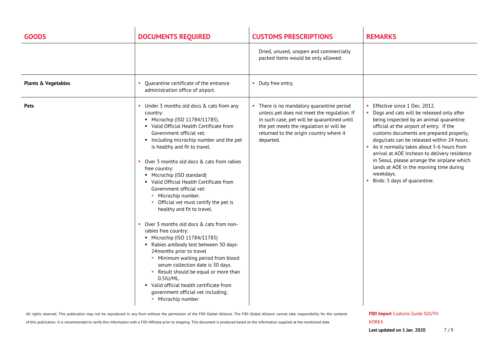| <b>GOODS</b>                   | <b>DOCUMENTS REQUIRED</b>                                                                                                                                                                                                                                                                                                                                                                                                                                                                                                                                                                                                                                                                                                                                                                                                                                                                                                        | <b>CUSTOMS PRESCRIPTIONS</b>                                                                                                                                                                                                               | <b>REMARKS</b>                                                                                                                                                                                                                                                                                                                                                                                                                                                                                 |
|--------------------------------|----------------------------------------------------------------------------------------------------------------------------------------------------------------------------------------------------------------------------------------------------------------------------------------------------------------------------------------------------------------------------------------------------------------------------------------------------------------------------------------------------------------------------------------------------------------------------------------------------------------------------------------------------------------------------------------------------------------------------------------------------------------------------------------------------------------------------------------------------------------------------------------------------------------------------------|--------------------------------------------------------------------------------------------------------------------------------------------------------------------------------------------------------------------------------------------|------------------------------------------------------------------------------------------------------------------------------------------------------------------------------------------------------------------------------------------------------------------------------------------------------------------------------------------------------------------------------------------------------------------------------------------------------------------------------------------------|
|                                |                                                                                                                                                                                                                                                                                                                                                                                                                                                                                                                                                                                                                                                                                                                                                                                                                                                                                                                                  | Dried, unused, unopen and commercially<br>packed items would be only allowed.                                                                                                                                                              |                                                                                                                                                                                                                                                                                                                                                                                                                                                                                                |
| <b>Plants &amp; Vegetables</b> | Quarantine certificate of the entrance<br>administration office of airport.                                                                                                                                                                                                                                                                                                                                                                                                                                                                                                                                                                                                                                                                                                                                                                                                                                                      | • Duty free entry.                                                                                                                                                                                                                         |                                                                                                                                                                                                                                                                                                                                                                                                                                                                                                |
| <b>Pets</b>                    | • Under 3 months old docs & cats from any<br>country:<br>Microchip (ISO 11784/11785).<br>• Valid Official Health Certificate from<br>Government official vet.<br>• Including microchip number and the pet<br>is healthy and fit to travel.<br>• Over 3 months old docs & cats from rabies<br>free country:<br>• Microchip (ISO standard)<br>• Valid Official Health Certificate from<br>Government official vet:<br>■ Microchip number.<br>• Official vet must certify the pet is<br>healthy and fit to travel.<br>Over 3 months old docs & cats from non-<br>rabies free country:<br>• Microchip (ISO 11784/11785)<br>Rabies antibody test between 30 days-<br>24months prior to travel<br>" Minimum waiting period from blood<br>serum collection date is 30 days.<br>Result should be equal or more than<br>0.5IU/ML.<br>• Valid official health certificate from<br>government official vet including;<br>■ Microchip number | • There is no mandatory quarantine period<br>unless pet does not meet the regulation. If<br>in such case, pet will be quarantined until<br>the pet meets the regulation or will be<br>returned to the origin country where it<br>departed. | Effective since 1 Dec. 2012.<br>Dogs and cats will be released only after<br>being inspected by an animal quarantine<br>official at the airport of entry. If the<br>customs documents are prepared properly,<br>dogs/cats can be released within 24 hours.<br>As it normally takes about 5-6 hours from<br>arrival at AOE Incheon to delivery residence<br>in Seoul, please arrange the airplane which<br>lands at AOE in the morning time during<br>weekdays.<br>Birds: 5 days of quarantine. |

All rights reserved. This publication may not be reproduced in any form without the permission of the FIDI Global Alliance. The FIDI Global Alliance cannot take responsibility for the contents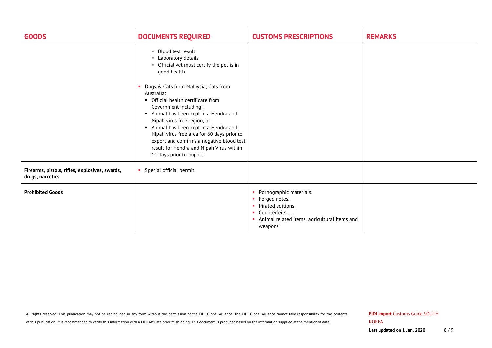| <b>GOODS</b>                                                       | <b>DOCUMENTS REQUIRED</b>                                                                                                                                                                                                                                                                                                                                                                                 | <b>CUSTOMS PRESCRIPTIONS</b>                                                                                                                 | <b>REMARKS</b> |
|--------------------------------------------------------------------|-----------------------------------------------------------------------------------------------------------------------------------------------------------------------------------------------------------------------------------------------------------------------------------------------------------------------------------------------------------------------------------------------------------|----------------------------------------------------------------------------------------------------------------------------------------------|----------------|
|                                                                    | ■ Blood test result<br>Laboratory details<br>×.<br>Official vet must certify the pet is in<br>m.<br>good health.                                                                                                                                                                                                                                                                                          |                                                                                                                                              |                |
|                                                                    | Dogs & Cats from Malaysia, Cats from<br>×.<br>Australia:<br>• Official health certificate from<br>Government including:<br>Animal has been kept in a Hendra and<br>Nipah virus free region, or<br>Animal has been kept in a Hendra and<br>Nipah virus free area for 60 days prior to<br>export and confirms a negative blood test<br>result for Hendra and Nipah Virus within<br>14 days prior to import. |                                                                                                                                              |                |
| Firearms, pistols, rifles, explosives, swards,<br>drugs, narcotics | Special official permit.<br>×                                                                                                                                                                                                                                                                                                                                                                             |                                                                                                                                              |                |
| <b>Prohibited Goods</b>                                            |                                                                                                                                                                                                                                                                                                                                                                                                           | Pornographic materials.<br>• Forged notes.<br>Pirated editions.<br>Counterfeits<br>• Animal related items, agricultural items and<br>weapons |                |

All rights reserved. This publication may not be reproduced in any form without the permission of the FIDI Global Alliance. The FIDI Global Alliance cannot take responsibility for the contents

**Last updated on 1 Jan. 2020** 8/9